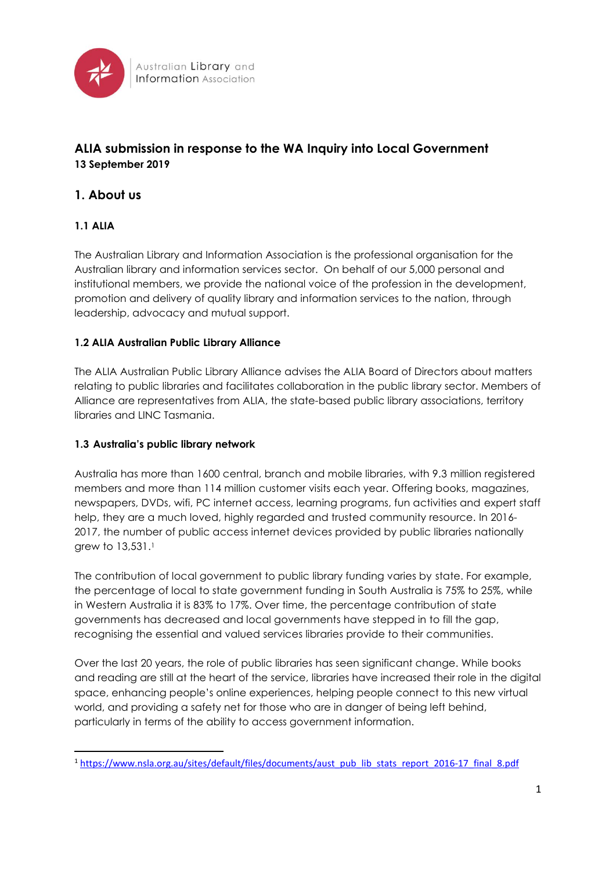

# **ALIA submission in response to the WA Inquiry into Local Government 13 September 2019**

## **1. About us**

### **1.1 ALIA**

The Australian Library and Information Association is the professional organisation for the Australian library and information services sector. On behalf of our 5,000 personal and institutional members, we provide the national voice of the profession in the development, promotion and delivery of quality library and information services to the nation, through leadership, advocacy and mutual support.

### **1.2 ALIA Australian Public Library Alliance**

The ALIA Australian Public Library Alliance advises the ALIA Board of Directors about matters relating to public libraries and facilitates collaboration in the public library sector. Members of Alliance are representatives from ALIA, the state-based public library associations, territory libraries and LINC Tasmania.

### **1.3 Australia's public library network**

Australia has more than 1600 central, branch and mobile libraries, with 9.3 million registered members and more than 114 million customer visits each year. Offering books, magazines, newspapers, DVDs, wifi, PC internet access, learning programs, fun activities and expert staff help, they are a much loved, highly regarded and trusted community resource. In 2016- 2017, the number of public access internet devices provided by public libraries nationally grew to 13,531. 1

The contribution of local government to public library funding varies by state. For example, the percentage of local to state government funding in South Australia is 75% to 25%, while in Western Australia it is 83% to 17%. Over time, the percentage contribution of state governments has decreased and local governments have stepped in to fill the gap, recognising the essential and valued services libraries provide to their communities.

Over the last 20 years, the role of public libraries has seen significant change. While books and reading are still at the heart of the service, libraries have increased their role in the digital space, enhancing people's online experiences, helping people connect to this new virtual world, and providing a safety net for those who are in danger of being left behind, particularly in terms of the ability to access government information.

<sup>1</sup> [https://www.nsla.org.au/sites/default/files/documents/aust\\_pub\\_lib\\_stats\\_report\\_2016-17\\_final\\_8.pdf](https://www.nsla.org.au/sites/default/files/documents/aust_pub_lib_stats_report_2016-17_final_8.pdf)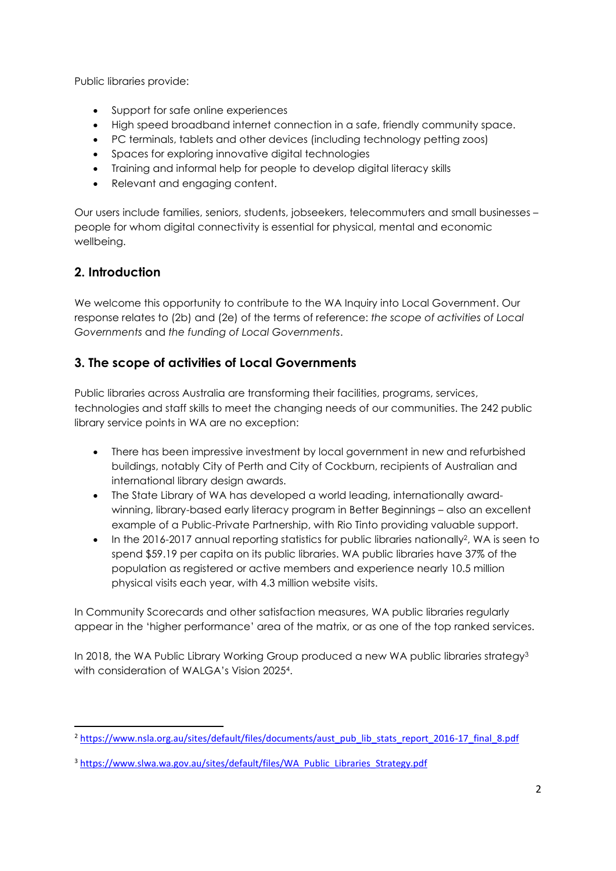Public libraries provide:

- Support for safe online experiences
- High speed broadband internet connection in a safe, friendly community space.
- PC terminals, tablets and other devices (including technology petting zoos)
- Spaces for exploring innovative digital technologies
- Training and informal help for people to develop digital literacy skills
- Relevant and engaging content.

Our users include families, seniors, students, jobseekers, telecommuters and small businesses – people for whom digital connectivity is essential for physical, mental and economic wellbeing.

# **2. Introduction**

We welcome this opportunity to contribute to the WA Inquiry into Local Government. Our response relates to (2b) and (2e) of the terms of reference: *the scope of activities of Local Governments* and *the funding of Local Governments*.

# **3. The scope of activities of Local Governments**

Public libraries across Australia are transforming their facilities, programs, services, technologies and staff skills to meet the changing needs of our communities. The 242 public library service points in WA are no exception:

- There has been impressive investment by local government in new and refurbished buildings, notably City of Perth and City of Cockburn, recipients of Australian and international library design awards.
- The State Library of WA has developed a world leading, internationally awardwinning, library-based early literacy program in Better Beginnings – also an excellent example of a Public-Private Partnership, with Rio Tinto providing valuable support.
- In the 2016-2017 annual reporting statistics for public libraries nationally?, WA is seen to spend \$59.19 per capita on its public libraries. WA public libraries have 37% of the population as registered or active members and experience nearly 10.5 million physical visits each year, with 4.3 million website visits.

In Community Scorecards and other satisfaction measures, WA public libraries regularly appear in the 'higher performance' area of the matrix, or as one of the top ranked services.

In 2018, the WA Public Library Working Group produced a new WA public libraries strategy<sup>3</sup> with consideration of WALGA's Vision 20254.

<sup>&</sup>lt;sup>2</sup> [https://www.nsla.org.au/sites/default/files/documents/aust\\_pub\\_lib\\_stats\\_report\\_2016-17\\_final\\_8.pdf](https://www.nsla.org.au/sites/default/files/documents/aust_pub_lib_stats_report_2016-17_final_8.pdf)

<sup>&</sup>lt;sup>3</sup> [https://www.slwa.wa.gov.au/sites/default/files/WA\\_Public\\_Libraries\\_Strategy.pdf](https://www.slwa.wa.gov.au/sites/default/files/WA_Public_Libraries_Strategy.pdf)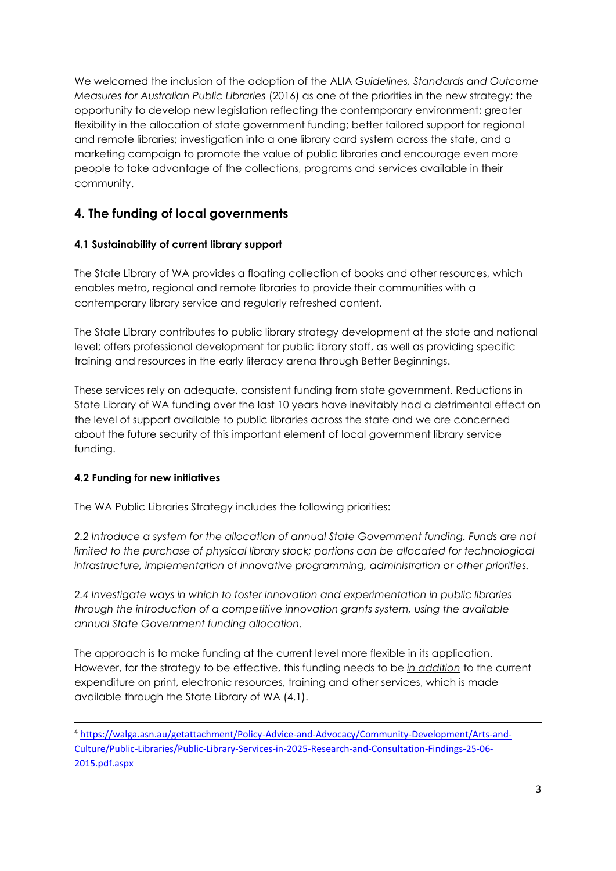We welcomed the inclusion of the adoption of the ALIA *Guidelines, Standards and Outcome Measures for Australian Public Libraries* (2016) as one of the priorities in the new strategy; the opportunity to develop new legislation reflecting the contemporary environment; greater flexibility in the allocation of state government funding; better tailored support for regional and remote libraries; investigation into a one library card system across the state, and a marketing campaign to promote the value of public libraries and encourage even more people to take advantage of the collections, programs and services available in their community.

## **4. The funding of local governments**

### **4.1 Sustainability of current library support**

The State Library of WA provides a floating collection of books and other resources, which enables metro, regional and remote libraries to provide their communities with a contemporary library service and regularly refreshed content.

The State Library contributes to public library strategy development at the state and national level; offers professional development for public library staff, as well as providing specific training and resources in the early literacy arena through Better Beginnings.

These services rely on adequate, consistent funding from state government. Reductions in State Library of WA funding over the last 10 years have inevitably had a detrimental effect on the level of support available to public libraries across the state and we are concerned about the future security of this important element of local government library service funding.

### **4.2 Funding for new initiatives**

The WA Public Libraries Strategy includes the following priorities:

2.2 Introduce a system for the allocation of annual State Government funding. Funds are not *limited to the purchase of physical library stock; portions can be allocated for technological infrastructure, implementation of innovative programming, administration or other priorities.*

*2.4 Investigate ways in which to foster innovation and experimentation in public libraries through the introduction of a competitive innovation grants system, using the available annual State Government funding allocation.*

The approach is to make funding at the current level more flexible in its application. However, for the strategy to be effective, this funding needs to be *in addition* to the current expenditure on print, electronic resources, training and other services, which is made available through the State Library of WA (4.1).

<sup>4</sup> [https://walga.asn.au/getattachment/Policy-Advice-and-Advocacy/Community-Development/Arts-and-](https://walga.asn.au/getattachment/Policy-Advice-and-Advocacy/Community-Development/Arts-and-Culture/Public-Libraries/Public-Library-Services-in-2025-Research-and-Consultation-Findings-25-06-2015.pdf.aspx)[Culture/Public-Libraries/Public-Library-Services-in-2025-Research-and-Consultation-Findings-25-06-](https://walga.asn.au/getattachment/Policy-Advice-and-Advocacy/Community-Development/Arts-and-Culture/Public-Libraries/Public-Library-Services-in-2025-Research-and-Consultation-Findings-25-06-2015.pdf.aspx) [2015.pdf.aspx](https://walga.asn.au/getattachment/Policy-Advice-and-Advocacy/Community-Development/Arts-and-Culture/Public-Libraries/Public-Library-Services-in-2025-Research-and-Consultation-Findings-25-06-2015.pdf.aspx)